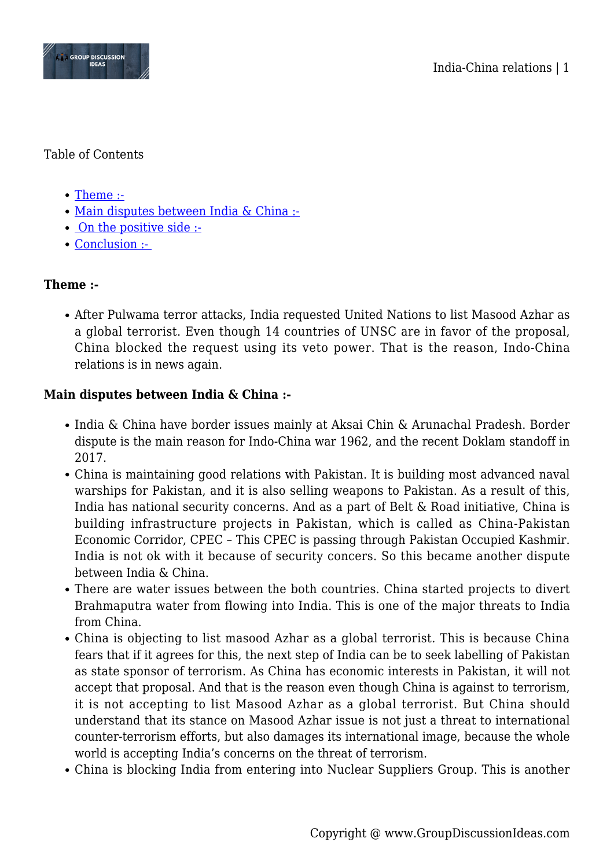

### Table of Contents

- [Theme :-](#page--1-0)
- [Main disputes between India & China :-](#page--1-0)
- • [On the positive side :-](#page--1-0)
- Conclusion :-

# **Theme :-**

After Pulwama terror attacks, India requested United Nations to list Masood Azhar as a global terrorist. Even though 14 countries of UNSC are in favor of the proposal, China blocked the request using its veto power. That is the reason, Indo-China relations is in news again.

## **Main disputes between India & China :-**

- India & China have border issues mainly at Aksai Chin & Arunachal Pradesh. Border dispute is the main reason for Indo-China war 1962, and the recent Doklam standoff in 2017.
- China is maintaining good relations with Pakistan. It is building most advanced naval warships for Pakistan, and it is also selling weapons to Pakistan. As a result of this, India has national security concerns. And as a part of Belt & Road initiative, China is building infrastructure projects in Pakistan, which is called as China-Pakistan Economic Corridor, CPEC – This CPEC is passing through Pakistan Occupied Kashmir. India is not ok with it because of security concers. So this became another dispute between India & China.
- There are water issues between the both countries. China started projects to divert Brahmaputra water from flowing into India. This is one of the major threats to India from China.
- China is objecting to list masood Azhar as a global terrorist. This is because China fears that if it agrees for this, the next step of India can be to seek labelling of Pakistan as state sponsor of terrorism. As China has economic interests in Pakistan, it will not accept that proposal. And that is the reason even though China is against to terrorism, it is not accepting to list Masood Azhar as a global terrorist. But China should understand that its stance on Masood Azhar issue is not just a threat to international counter-terrorism efforts, but also damages its international image, because the whole world is accepting India's concerns on the threat of terrorism.
- China is blocking India from entering into Nuclear Suppliers Group. This is another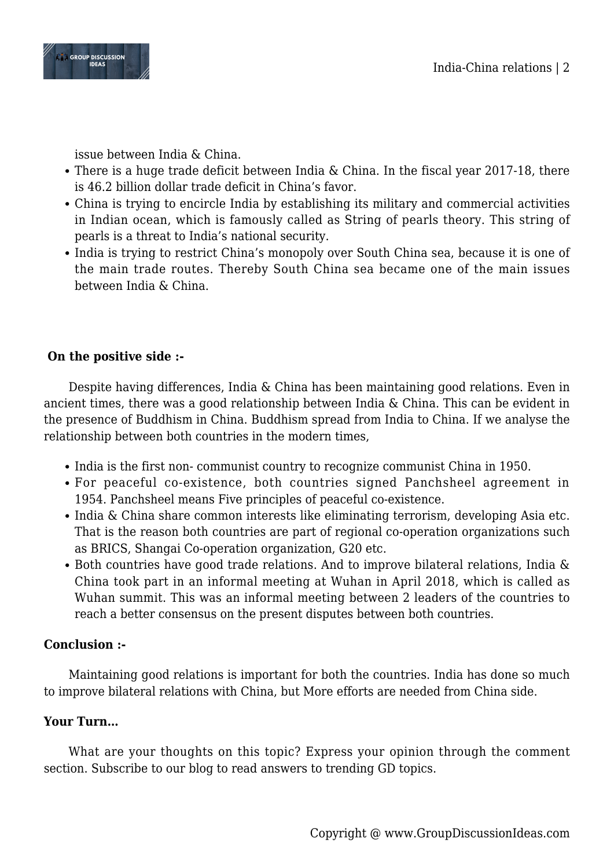

issue between India & China.

- There is a huge trade deficit between India & China. In the fiscal year 2017-18, there is 46.2 billion dollar trade deficit in China's favor.
- China is trying to encircle India by establishing its military and commercial activities in Indian ocean, which is famously called as String of pearls theory. This string of pearls is a threat to India's national security.
- India is trying to restrict China's monopoly over South China sea, because it is one of the main trade routes. Thereby South China sea became one of the main issues between India & China.

# **On the positive side :-**

Despite having differences, India & China has been maintaining good relations. Even in ancient times, there was a good relationship between India & China. This can be evident in the presence of Buddhism in China. Buddhism spread from India to China. If we analyse the relationship between both countries in the modern times,

- India is the first non-communist country to recognize communist China in 1950.
- For peaceful co-existence, both countries signed Panchsheel agreement in 1954. Panchsheel means Five principles of peaceful co-existence.
- India & China share common interests like eliminating terrorism, developing Asia etc. That is the reason both countries are part of regional co-operation organizations such as BRICS, Shangai Co-operation organization, G20 etc.
- Both countries have good trade relations. And to improve bilateral relations, India & China took part in an informal meeting at Wuhan in April 2018, which is called as Wuhan summit. This was an informal meeting between 2 leaders of the countries to reach a better consensus on the present disputes between both countries.

## **Conclusion :-**

Maintaining good relations is important for both the countries. India has done so much to improve bilateral relations with China, but More efforts are needed from China side.

## **Your Turn…**

What are your thoughts on this topic? Express your opinion through the comment section. Subscribe to our blog to read answers to trending GD topics.